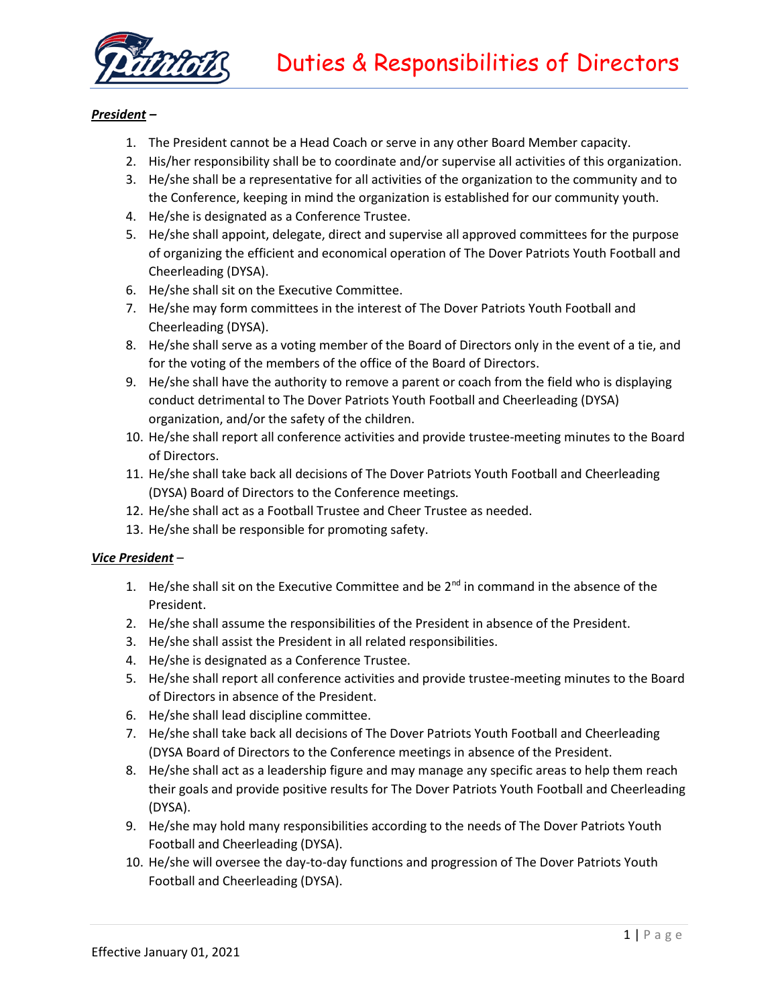

## *President –*

- 1. The President cannot be a Head Coach or serve in any other Board Member capacity.
- 2. His/her responsibility shall be to coordinate and/or supervise all activities of this organization.
- 3. He/she shall be a representative for all activities of the organization to the community and to the Conference, keeping in mind the organization is established for our community youth.
- 4. He/she is designated as a Conference Trustee.
- 5. He/she shall appoint, delegate, direct and supervise all approved committees for the purpose of organizing the efficient and economical operation of The Dover Patriots Youth Football and Cheerleading (DYSA).
- 6. He/she shall sit on the Executive Committee.
- 7. He/she may form committees in the interest of The Dover Patriots Youth Football and Cheerleading (DYSA).
- 8. He/she shall serve as a voting member of the Board of Directors only in the event of a tie, and for the voting of the members of the office of the Board of Directors.
- 9. He/she shall have the authority to remove a parent or coach from the field who is displaying conduct detrimental to The Dover Patriots Youth Football and Cheerleading (DYSA) organization, and/or the safety of the children.
- 10. He/she shall report all conference activities and provide trustee-meeting minutes to the Board of Directors.
- 11. He/she shall take back all decisions of The Dover Patriots Youth Football and Cheerleading (DYSA) Board of Directors to the Conference meetings.
- 12. He/she shall act as a Football Trustee and Cheer Trustee as needed.
- 13. He/she shall be responsible for promoting safety.

## *Vice President* –

- 1. He/she shall sit on the Executive Committee and be  $2^{nd}$  in command in the absence of the President.
- 2. He/she shall assume the responsibilities of the President in absence of the President.
- 3. He/she shall assist the President in all related responsibilities.
- 4. He/she is designated as a Conference Trustee.
- 5. He/she shall report all conference activities and provide trustee-meeting minutes to the Board of Directors in absence of the President.
- 6. He/she shall lead discipline committee.
- 7. He/she shall take back all decisions of The Dover Patriots Youth Football and Cheerleading (DYSA Board of Directors to the Conference meetings in absence of the President.
- 8. He/she shall act as a leadership figure and may manage any specific areas to help them reach their goals and provide positive results for The Dover Patriots Youth Football and Cheerleading (DYSA).
- 9. He/she may hold many responsibilities according to the needs of The Dover Patriots Youth Football and Cheerleading (DYSA).
- 10. He/she will oversee the day-to-day functions and progression of The Dover Patriots Youth Football and Cheerleading (DYSA).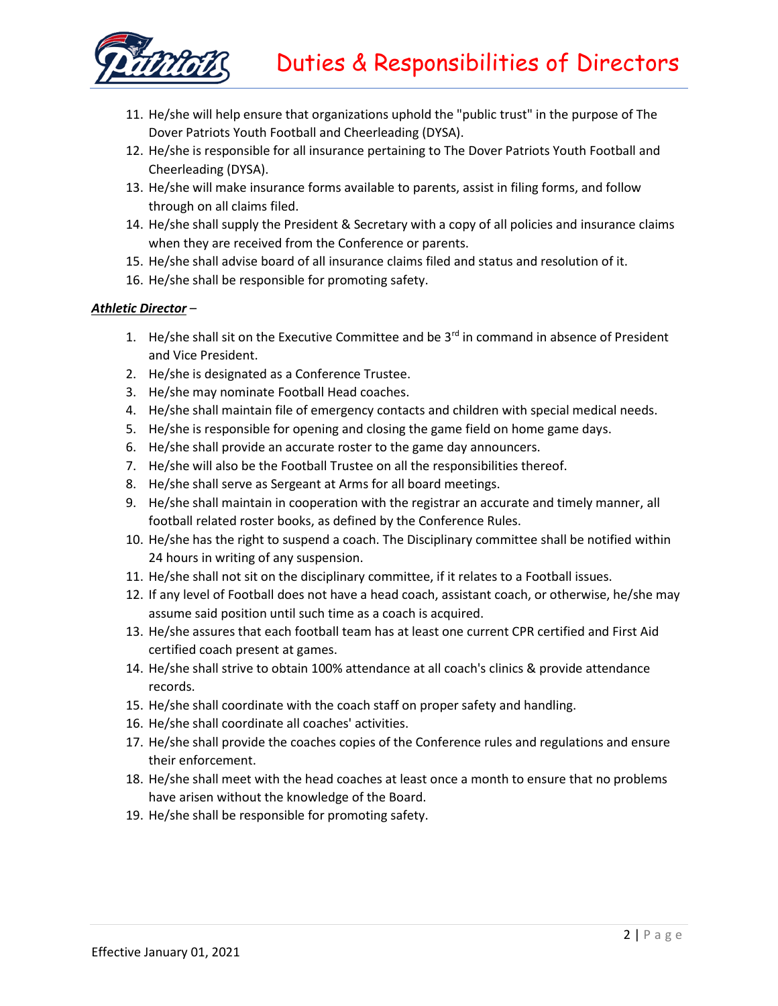

- 11. He/she will help ensure that organizations uphold the "public trust" in the purpose of The Dover Patriots Youth Football and Cheerleading (DYSA).
- 12. He/she is responsible for all insurance pertaining to The Dover Patriots Youth Football and Cheerleading (DYSA).
- 13. He/she will make insurance forms available to parents, assist in filing forms, and follow through on all claims filed.
- 14. He/she shall supply the President & Secretary with a copy of all policies and insurance claims when they are received from the Conference or parents.
- 15. He/she shall advise board of all insurance claims filed and status and resolution of it.
- 16. He/she shall be responsible for promoting safety.

# *Athletic Director* –

- 1. He/she shall sit on the Executive Committee and be  $3<sup>rd</sup>$  in command in absence of President and Vice President.
- 2. He/she is designated as a Conference Trustee.
- 3. He/she may nominate Football Head coaches.
- 4. He/she shall maintain file of emergency contacts and children with special medical needs.
- 5. He/she is responsible for opening and closing the game field on home game days.
- 6. He/she shall provide an accurate roster to the game day announcers.
- 7. He/she will also be the Football Trustee on all the responsibilities thereof.
- 8. He/she shall serve as Sergeant at Arms for all board meetings.
- 9. He/she shall maintain in cooperation with the registrar an accurate and timely manner, all football related roster books, as defined by the Conference Rules.
- 10. He/she has the right to suspend a coach. The Disciplinary committee shall be notified within 24 hours in writing of any suspension.
- 11. He/she shall not sit on the disciplinary committee, if it relates to a Football issues.
- 12. If any level of Football does not have a head coach, assistant coach, or otherwise, he/she may assume said position until such time as a coach is acquired.
- 13. He/she assures that each football team has at least one current CPR certified and First Aid certified coach present at games.
- 14. He/she shall strive to obtain 100% attendance at all coach's clinics & provide attendance records.
- 15. He/she shall coordinate with the coach staff on proper safety and handling.
- 16. He/she shall coordinate all coaches' activities.
- 17. He/she shall provide the coaches copies of the Conference rules and regulations and ensure their enforcement.
- 18. He/she shall meet with the head coaches at least once a month to ensure that no problems have arisen without the knowledge of the Board.
- 19. He/she shall be responsible for promoting safety.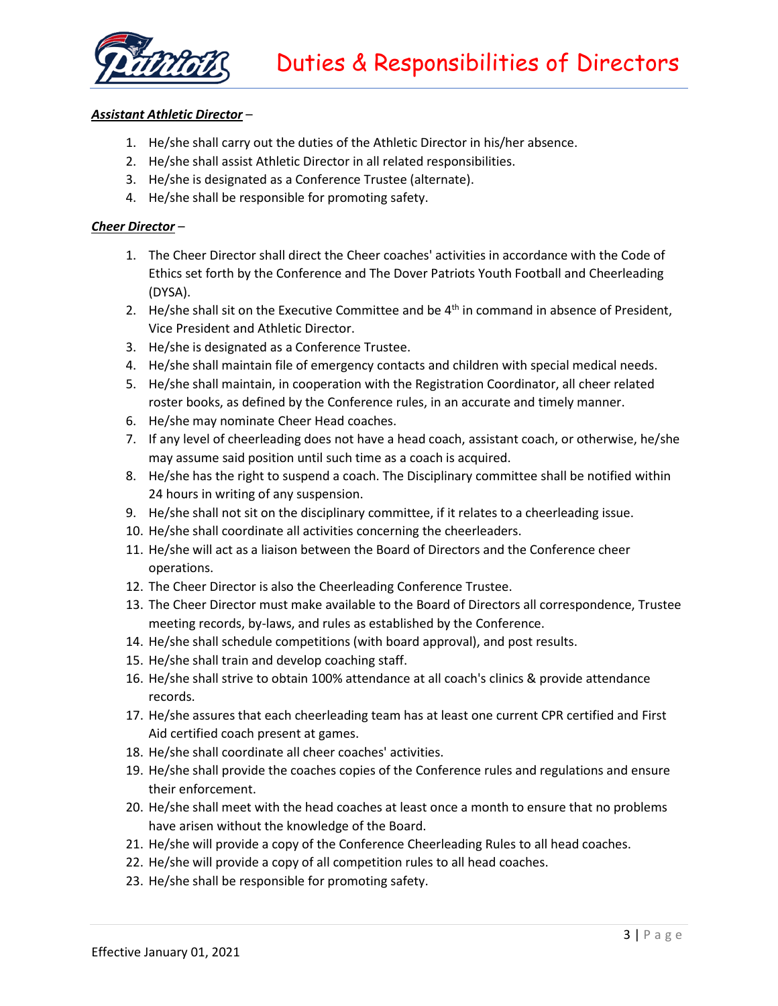

## *Assistant Athletic Director* –

- 1. He/she shall carry out the duties of the Athletic Director in his/her absence.
- 2. He/she shall assist Athletic Director in all related responsibilities.
- 3. He/she is designated as a Conference Trustee (alternate).
- 4. He/she shall be responsible for promoting safety.

## *Cheer Director* –

- 1. The Cheer Director shall direct the Cheer coaches' activities in accordance with the Code of Ethics set forth by the Conference and The Dover Patriots Youth Football and Cheerleading (DYSA).
- 2. He/she shall sit on the Executive Committee and be  $4<sup>th</sup>$  in command in absence of President, Vice President and Athletic Director.
- 3. He/she is designated as a Conference Trustee.
- 4. He/she shall maintain file of emergency contacts and children with special medical needs.
- 5. He/she shall maintain, in cooperation with the Registration Coordinator, all cheer related roster books, as defined by the Conference rules, in an accurate and timely manner.
- 6. He/she may nominate Cheer Head coaches.
- 7. If any level of cheerleading does not have a head coach, assistant coach, or otherwise, he/she may assume said position until such time as a coach is acquired.
- 8. He/she has the right to suspend a coach. The Disciplinary committee shall be notified within 24 hours in writing of any suspension.
- 9. He/she shall not sit on the disciplinary committee, if it relates to a cheerleading issue.
- 10. He/she shall coordinate all activities concerning the cheerleaders.
- 11. He/she will act as a liaison between the Board of Directors and the Conference cheer operations.
- 12. The Cheer Director is also the Cheerleading Conference Trustee.
- 13. The Cheer Director must make available to the Board of Directors all correspondence, Trustee meeting records, by-laws, and rules as established by the Conference.
- 14. He/she shall schedule competitions (with board approval), and post results.
- 15. He/she shall train and develop coaching staff.
- 16. He/she shall strive to obtain 100% attendance at all coach's clinics & provide attendance records.
- 17. He/she assures that each cheerleading team has at least one current CPR certified and First Aid certified coach present at games.
- 18. He/she shall coordinate all cheer coaches' activities.
- 19. He/she shall provide the coaches copies of the Conference rules and regulations and ensure their enforcement.
- 20. He/she shall meet with the head coaches at least once a month to ensure that no problems have arisen without the knowledge of the Board.
- 21. He/she will provide a copy of the Conference Cheerleading Rules to all head coaches.
- 22. He/she will provide a copy of all competition rules to all head coaches.
- 23. He/she shall be responsible for promoting safety.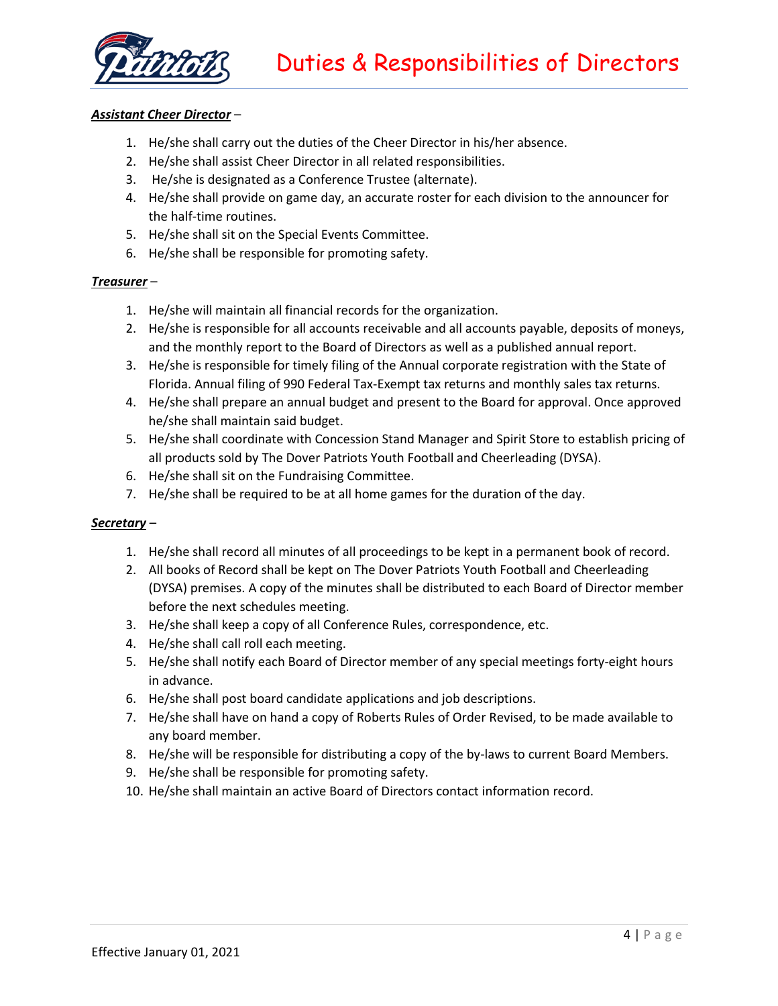

## *Assistant Cheer Director* –

- 1. He/she shall carry out the duties of the Cheer Director in his/her absence.
- 2. He/she shall assist Cheer Director in all related responsibilities.
- 3. He/she is designated as a Conference Trustee (alternate).
- 4. He/she shall provide on game day, an accurate roster for each division to the announcer for the half-time routines.
- 5. He/she shall sit on the Special Events Committee.
- 6. He/she shall be responsible for promoting safety.

#### *Treasurer* –

- 1. He/she will maintain all financial records for the organization.
- 2. He/she is responsible for all accounts receivable and all accounts payable, deposits of moneys, and the monthly report to the Board of Directors as well as a published annual report.
- 3. He/she is responsible for timely filing of the Annual corporate registration with the State of Florida. Annual filing of 990 Federal Tax-Exempt tax returns and monthly sales tax returns.
- 4. He/she shall prepare an annual budget and present to the Board for approval. Once approved he/she shall maintain said budget.
- 5. He/she shall coordinate with Concession Stand Manager and Spirit Store to establish pricing of all products sold by The Dover Patriots Youth Football and Cheerleading (DYSA).
- 6. He/she shall sit on the Fundraising Committee.
- 7. He/she shall be required to be at all home games for the duration of the day.

## *Secretary* –

- 1. He/she shall record all minutes of all proceedings to be kept in a permanent book of record.
- 2. All books of Record shall be kept on The Dover Patriots Youth Football and Cheerleading (DYSA) premises. A copy of the minutes shall be distributed to each Board of Director member before the next schedules meeting.
- 3. He/she shall keep a copy of all Conference Rules, correspondence, etc.
- 4. He/she shall call roll each meeting.
- 5. He/she shall notify each Board of Director member of any special meetings forty-eight hours in advance.
- 6. He/she shall post board candidate applications and job descriptions.
- 7. He/she shall have on hand a copy of Roberts Rules of Order Revised, to be made available to any board member.
- 8. He/she will be responsible for distributing a copy of the by-laws to current Board Members.
- 9. He/she shall be responsible for promoting safety.
- 10. He/she shall maintain an active Board of Directors contact information record.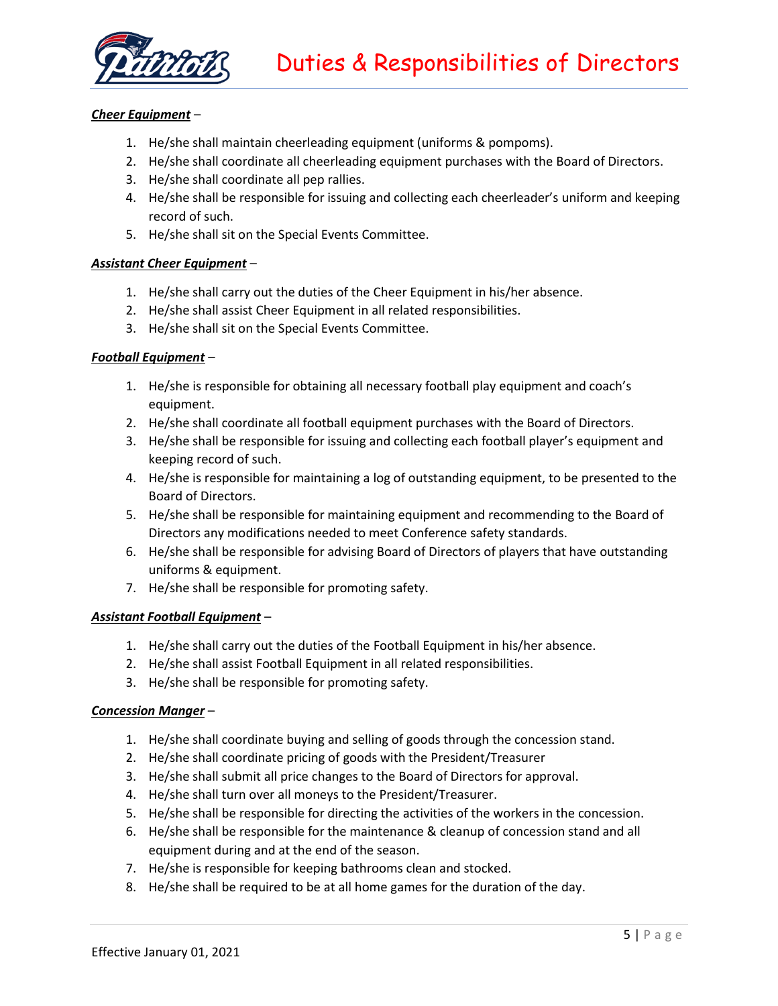

## *Cheer Equipment* –

- 1. He/she shall maintain cheerleading equipment (uniforms & pompoms).
- 2. He/she shall coordinate all cheerleading equipment purchases with the Board of Directors.
- 3. He/she shall coordinate all pep rallies.
- 4. He/she shall be responsible for issuing and collecting each cheerleader's uniform and keeping record of such.
- 5. He/she shall sit on the Special Events Committee.

#### *Assistant Cheer Equipment* –

- 1. He/she shall carry out the duties of the Cheer Equipment in his/her absence.
- 2. He/she shall assist Cheer Equipment in all related responsibilities.
- 3. He/she shall sit on the Special Events Committee.

#### *Football Equipment* –

- 1. He/she is responsible for obtaining all necessary football play equipment and coach's equipment.
- 2. He/she shall coordinate all football equipment purchases with the Board of Directors.
- 3. He/she shall be responsible for issuing and collecting each football player's equipment and keeping record of such.
- 4. He/she is responsible for maintaining a log of outstanding equipment, to be presented to the Board of Directors.
- 5. He/she shall be responsible for maintaining equipment and recommending to the Board of Directors any modifications needed to meet Conference safety standards.
- 6. He/she shall be responsible for advising Board of Directors of players that have outstanding uniforms & equipment.
- 7. He/she shall be responsible for promoting safety.

#### *Assistant Football Equipment* –

- 1. He/she shall carry out the duties of the Football Equipment in his/her absence.
- 2. He/she shall assist Football Equipment in all related responsibilities.
- 3. He/she shall be responsible for promoting safety.

#### *Concession Manger* –

- 1. He/she shall coordinate buying and selling of goods through the concession stand.
- 2. He/she shall coordinate pricing of goods with the President/Treasurer
- 3. He/she shall submit all price changes to the Board of Directors for approval.
- 4. He/she shall turn over all moneys to the President/Treasurer.
- 5. He/she shall be responsible for directing the activities of the workers in the concession.
- 6. He/she shall be responsible for the maintenance & cleanup of concession stand and all equipment during and at the end of the season.
- 7. He/she is responsible for keeping bathrooms clean and stocked.
- 8. He/she shall be required to be at all home games for the duration of the day.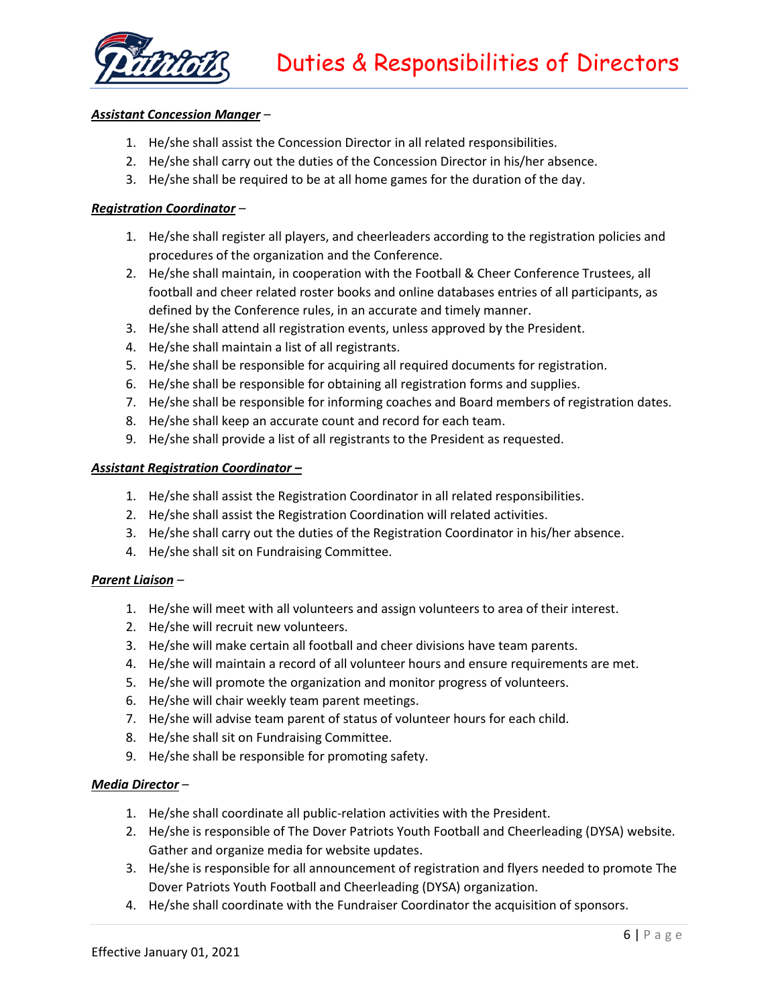

## *Assistant Concession Manger* –

- 1. He/she shall assist the Concession Director in all related responsibilities.
- 2. He/she shall carry out the duties of the Concession Director in his/her absence.
- 3. He/she shall be required to be at all home games for the duration of the day.

#### *Registration Coordinator* –

- 1. He/she shall register all players, and cheerleaders according to the registration policies and procedures of the organization and the Conference.
- 2. He/she shall maintain, in cooperation with the Football & Cheer Conference Trustees, all football and cheer related roster books and online databases entries of all participants, as defined by the Conference rules, in an accurate and timely manner.
- 3. He/she shall attend all registration events, unless approved by the President.
- 4. He/she shall maintain a list of all registrants.
- 5. He/she shall be responsible for acquiring all required documents for registration.
- 6. He/she shall be responsible for obtaining all registration forms and supplies.
- 7. He/she shall be responsible for informing coaches and Board members of registration dates.
- 8. He/she shall keep an accurate count and record for each team.
- 9. He/she shall provide a list of all registrants to the President as requested.

#### *Assistant Registration Coordinator –*

- 1. He/she shall assist the Registration Coordinator in all related responsibilities.
- 2. He/she shall assist the Registration Coordination will related activities.
- 3. He/she shall carry out the duties of the Registration Coordinator in his/her absence.
- 4. He/she shall sit on Fundraising Committee.

## *Parent Liaison* –

- 1. He/she will meet with all volunteers and assign volunteers to area of their interest.
- 2. He/she will recruit new volunteers.
- 3. He/she will make certain all football and cheer divisions have team parents.
- 4. He/she will maintain a record of all volunteer hours and ensure requirements are met.
- 5. He/she will promote the organization and monitor progress of volunteers.
- 6. He/she will chair weekly team parent meetings.
- 7. He/she will advise team parent of status of volunteer hours for each child.
- 8. He/she shall sit on Fundraising Committee.
- 9. He/she shall be responsible for promoting safety.

## *Media Director* –

- 1. He/she shall coordinate all public-relation activities with the President.
- 2. He/she is responsible of The Dover Patriots Youth Football and Cheerleading (DYSA) website. Gather and organize media for website updates.
- 3. He/she is responsible for all announcement of registration and flyers needed to promote The Dover Patriots Youth Football and Cheerleading (DYSA) organization.
- 4. He/she shall coordinate with the Fundraiser Coordinator the acquisition of sponsors.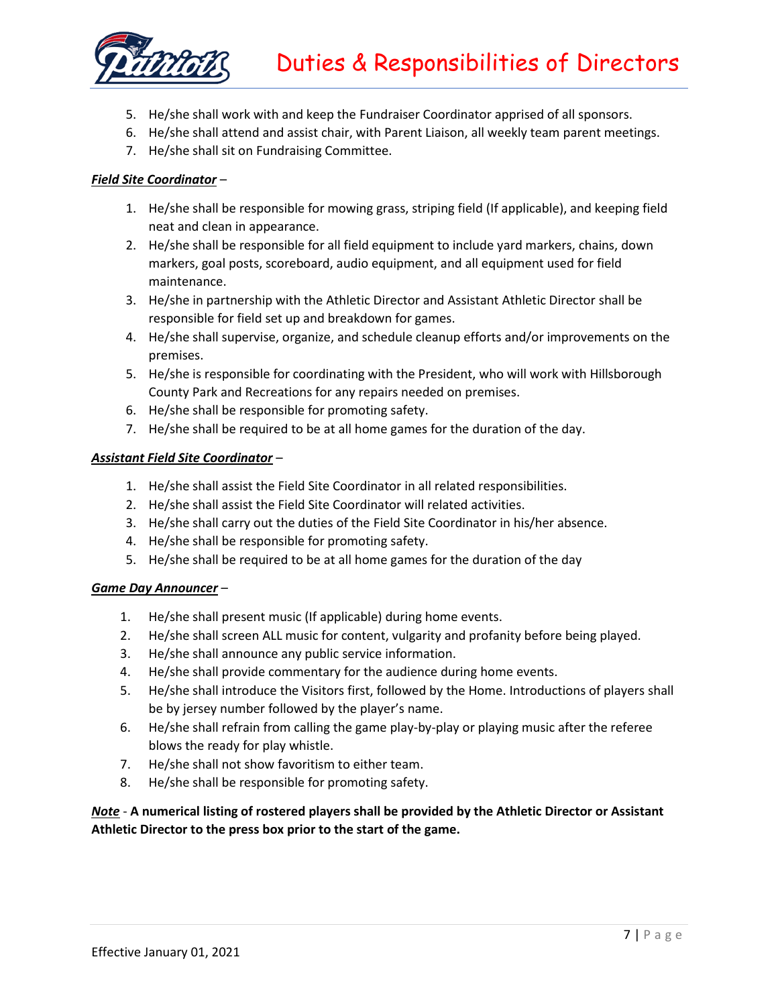

- 5. He/she shall work with and keep the Fundraiser Coordinator apprised of all sponsors.
- 6. He/she shall attend and assist chair, with Parent Liaison, all weekly team parent meetings.
- 7. He/she shall sit on Fundraising Committee.

## *Field Site Coordinator* –

- 1. He/she shall be responsible for mowing grass, striping field (If applicable), and keeping field neat and clean in appearance.
- 2. He/she shall be responsible for all field equipment to include yard markers, chains, down markers, goal posts, scoreboard, audio equipment, and all equipment used for field maintenance.
- 3. He/she in partnership with the Athletic Director and Assistant Athletic Director shall be responsible for field set up and breakdown for games.
- 4. He/she shall supervise, organize, and schedule cleanup efforts and/or improvements on the premises.
- 5. He/she is responsible for coordinating with the President, who will work with Hillsborough County Park and Recreations for any repairs needed on premises.
- 6. He/she shall be responsible for promoting safety.
- 7. He/she shall be required to be at all home games for the duration of the day.

## *Assistant Field Site Coordinator* –

- 1. He/she shall assist the Field Site Coordinator in all related responsibilities.
- 2. He/she shall assist the Field Site Coordinator will related activities.
- 3. He/she shall carry out the duties of the Field Site Coordinator in his/her absence.
- 4. He/she shall be responsible for promoting safety.
- 5. He/she shall be required to be at all home games for the duration of the day

## *Game Day Announcer* –

- 1. He/she shall present music (If applicable) during home events.
- 2. He/she shall screen ALL music for content, vulgarity and profanity before being played.
- 3. He/she shall announce any public service information.
- 4. He/she shall provide commentary for the audience during home events.
- 5. He/she shall introduce the Visitors first, followed by the Home. Introductions of players shall be by jersey number followed by the player's name.
- 6. He/she shall refrain from calling the game play-by-play or playing music after the referee blows the ready for play whistle.
- 7. He/she shall not show favoritism to either team.
- 8. He/she shall be responsible for promoting safety.

# *Note* - **A numerical listing of rostered players shall be provided by the Athletic Director or Assistant Athletic Director to the press box prior to the start of the game.**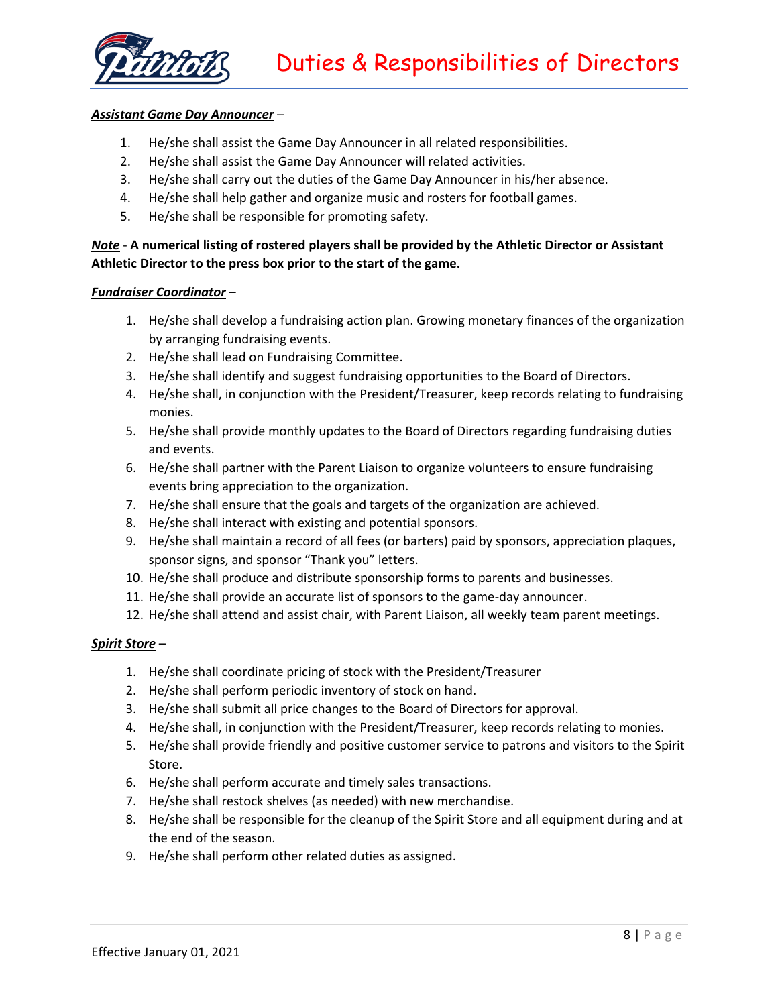

#### *Assistant Game Day Announcer* –

- 1. He/she shall assist the Game Day Announcer in all related responsibilities.
- 2. He/she shall assist the Game Day Announcer will related activities.
- 3. He/she shall carry out the duties of the Game Day Announcer in his/her absence.
- 4. He/she shall help gather and organize music and rosters for football games.
- 5. He/she shall be responsible for promoting safety.

## *Note* - **A numerical listing of rostered players shall be provided by the Athletic Director or Assistant Athletic Director to the press box prior to the start of the game.**

#### *Fundraiser Coordinator* –

- 1. He/she shall develop a fundraising action plan. Growing monetary finances of the organization by arranging fundraising events.
- 2. He/she shall lead on Fundraising Committee.
- 3. He/she shall identify and suggest fundraising opportunities to the Board of Directors.
- 4. He/she shall, in conjunction with the President/Treasurer, keep records relating to fundraising monies.
- 5. He/she shall provide monthly updates to the Board of Directors regarding fundraising duties and events.
- 6. He/she shall partner with the Parent Liaison to organize volunteers to ensure fundraising events bring appreciation to the organization.
- 7. He/she shall ensure that the goals and targets of the organization are achieved.
- 8. He/she shall interact with existing and potential sponsors.
- 9. He/she shall maintain a record of all fees (or barters) paid by sponsors, appreciation plaques, sponsor signs, and sponsor "Thank you" letters.
- 10. He/she shall produce and distribute sponsorship forms to parents and businesses.
- 11. He/she shall provide an accurate list of sponsors to the game-day announcer.
- 12. He/she shall attend and assist chair, with Parent Liaison, all weekly team parent meetings.

## *Spirit Store* –

- 1. He/she shall coordinate pricing of stock with the President/Treasurer
- 2. He/she shall perform periodic inventory of stock on hand.
- 3. He/she shall submit all price changes to the Board of Directors for approval.
- 4. He/she shall, in conjunction with the President/Treasurer, keep records relating to monies.
- 5. He/she shall provide friendly and positive customer service to patrons and visitors to the Spirit Store.
- 6. He/she shall perform accurate and timely sales transactions.
- 7. He/she shall restock shelves (as needed) with new merchandise.
- 8. He/she shall be responsible for the cleanup of the Spirit Store and all equipment during and at the end of the season.
- 9. He/she shall perform other related duties as assigned.